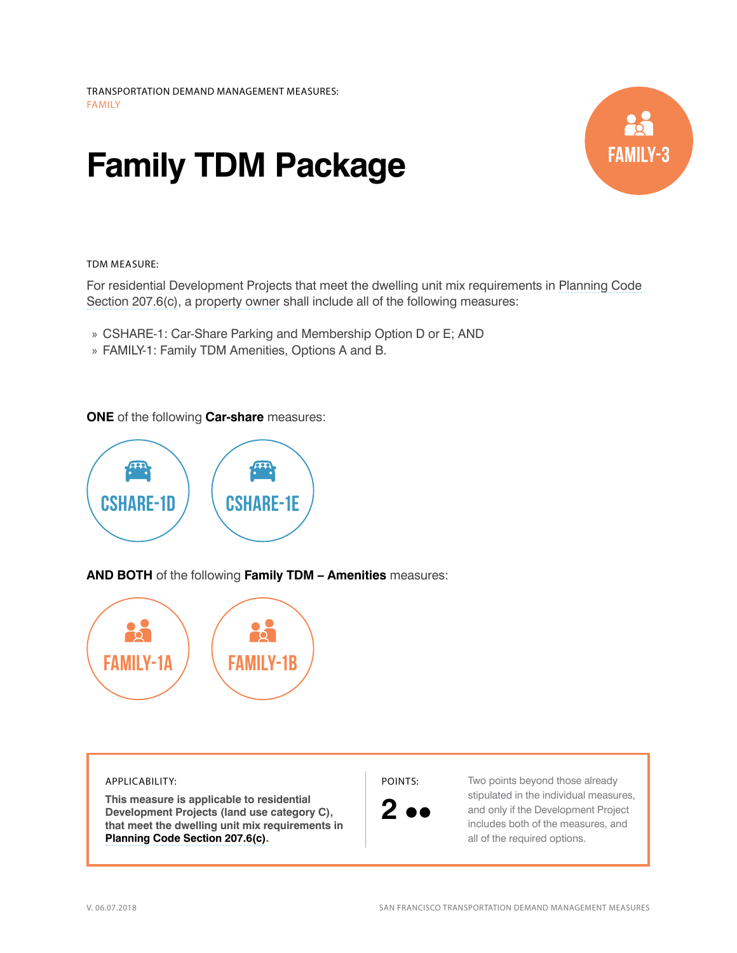## **Family TDM Package**



## TDM MEASURE:

For residential Development Projects that meet the dwelling unit mix requirements in [Planning Code](http://library.amlegal.com/nxt/gateway.dll/California/planning/article2usedistricts?f=templates$fn=default.htm$3.0$vid=amlegal:sanfrancisco_ca$anc=JD_207.6)  [Section 207.6\(c\),](http://library.amlegal.com/nxt/gateway.dll/California/planning/article2usedistricts?f=templates$fn=default.htm$3.0$vid=amlegal:sanfrancisco_ca$anc=JD_207.6) a [property owner](http://library.amlegal.com/nxt/gateway.dll/California/planning/article15off-streetparkingandloading?f=templates$fn=default.htm$3.0$vid=amlegal:sanfrancisco_ca$anc=JD_166) shall include all of the following measures:

- » CSHARE-1: Car-Share Parking and Membership Option D or E; AND
- » FAMILY-1: Family TDM Amenities, Options A and B.

**ONE** of the following **Car-share** measures:



**AND BOTH** of the following **Family TDM – Amenities** measures:



## APPLICABILITY:

**This measure is applicable to residential Development Projects (land use category C), that meet the dwelling unit mix requirements in [Planning Code Section 207.6\(c\)](http://library.amlegal.com/nxt/gateway.dll/California/planning/article2usedistricts?f=templates$fn=default.htm$3.0$vid=amlegal:sanfrancisco_ca$anc=JD_207.6).**

POINTS:



Two points beyond those already stipulated in the individual measures, and only if the Development Project includes both of the measures, and all of the required options.